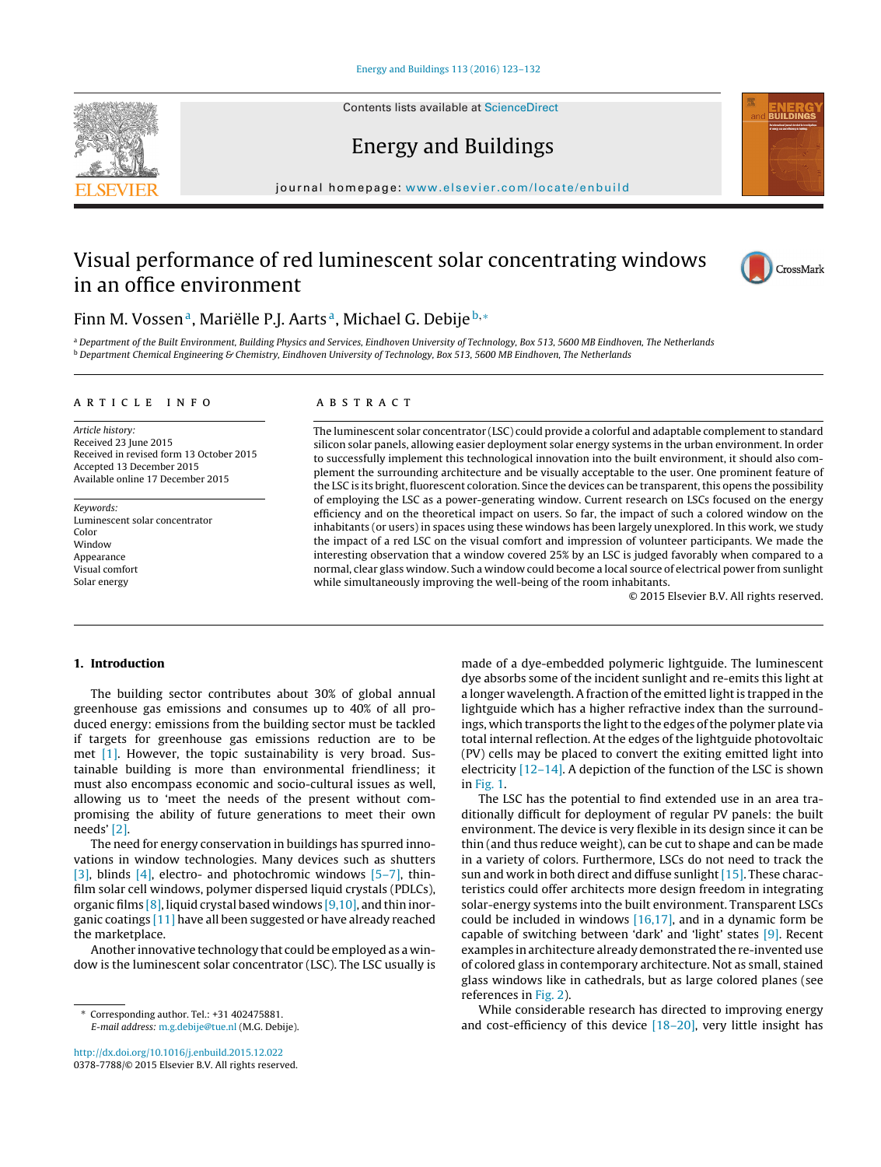Contents lists available at [ScienceDirect](http://www.sciencedirect.com/science/journal/03787788)





## Energy and Buildings

iournal homepage: [www.elsevier.com/locate/enbuild](http://www.elsevier.com/locate/enbuild)

## Visual performance of red luminescent solar concentrating windows in an office environment



### Finn M. Vossen<sup>a</sup>, Mariëlle P.J. Aarts<sup>a</sup>, Michael G. Debije<sup>b,∗</sup>

a Department of the Built Environment, Building Physics and Services, Eindhoven University of Technology, Box 513, 5600 MB Eindhoven, The Netherlands  $b$  Department Chemical Engineering & Chemistry, Eindhoven University of Technology, Box 513, 5600 MB Eindhoven, The Netherlands

#### ARTICLE INFO

Article history: Received 23 June 2015 Received in revised form 13 October 2015 Accepted 13 December 2015 Available online 17 December 2015

Keywords: Luminescent solar concentrator Color Window Appearance Visual comfort Solar energy

#### A B S T R A C T

The luminescent solar concentrator (LSC) could provide a colorful and adaptable complement to standard silicon solar panels, allowing easier deployment solar energy systems in the urban environment. In order to successfully implement this technological innovation into the built environment, it should also complement the surrounding architecture and be visually acceptable to the user. One prominent feature of the LSC is its bright, fluorescent coloration. Since the devices can be transparent, this opens the possibility of employing the LSC as a power-generating window. Current research on LSCs focused on the energy efficiency and on the theoretical impact on users. So far, the impact of such a colored window on the inhabitants (or users) in spaces using these windows has been largely unexplored. In this work, we study the impact of a red LSC on the visual comfort and impression of volunteer participants. We made the interesting observation that a window covered 25% by an LSC is judged favorably when compared to a normal, clear glass window. Such a window could become a local source of electrical power from sunlight while simultaneously improving the well-being of the room inhabitants.

© 2015 Elsevier B.V. All rights reserved.

#### **1. Introduction**

The building sector contributes about 30% of global annual greenhouse gas emissions and consumes up to 40% of all produced energy: emissions from the building sector must be tackled if targets for greenhouse gas emissions reduction are to be met [\[1\].](#page--1-0) However, the topic sustainability is very broad. Sustainable building is more than environmental friendliness; it must also encompass economic and socio-cultural issues as well, allowing us to 'meet the needs of the present without compromising the ability of future generations to meet their own needs' [\[2\].](#page--1-0)

The need for energy conservation in buildings has spurred innovations in window technologies. Many devices such as shutters [\[3\],](#page--1-0) blinds [\[4\],](#page--1-0) electro- and photochromic windows  $[5-7]$ , thinfilm solar cell windows, polymer dispersed liquid crystals (PDLCs), organic films [\[8\],](#page--1-0) liquid crystal based windows [\[9,10\],](#page--1-0) and thin inorganic coatings [\[11\]](#page--1-0) have all been suggested or have already reached the marketplace.

Another innovative technology that could be employed as a window is the luminescent solar concentrator (LSC). The LSC usually is

[http://dx.doi.org/10.1016/j.enbuild.2015.12.022](dx.doi.org/10.1016/j.enbuild.2015.12.022) 0378-7788/© 2015 Elsevier B.V. All rights reserved. made of a dye-embedded polymeric lightguide. The luminescent dye absorbs some of the incident sunlight and re-emits this light at a longer wavelength. A fraction of the emitted light is trapped in the lightguide which has a higher refractive index than the surroundings, which transports the light to the edges of the polymer plate via total internal reflection. At the edges of the lightguide photovoltaic (PV) cells may be placed to convert the exiting emitted light into electricity  $[12-14]$ . A depiction of the function of the LSC is shown in [Fig.](#page-1-0) 1.

The LSC has the potential to find extended use in an area traditionally difficult for deployment of regular PV panels: the built environment. The device is very flexible in its design since it can be thin (and thus reduce weight), can be cut to shape and can be made in a variety of colors. Furthermore, LSCs do not need to track the sun and work in both direct and diffuse sunlight [\[15\].](#page--1-0) These characteristics could offer architects more design freedom in integrating solar-energy systems into the built environment. Transparent LSCs could be included in windows  $[16,17]$ , and in a dynamic form be capable of switching between 'dark' and 'light' states [\[9\].](#page--1-0) Recent examples in architecture already demonstrated the re-invented use of colored glass in contemporary architecture. Not as small, stained glass windows like in cathedrals, but as large colored planes (see references in [Fig.](#page-1-0) 2).

While considerable research has directed to improving energy and cost-efficiency of this device [\[18–20\],](#page--1-0) very little insight has

<sup>∗</sup> Corresponding author. Tel.: +31 402475881. E-mail address: [m.g.debije@tue.nl](mailto:m.g.debije@tue.nl) (M.G. Debije).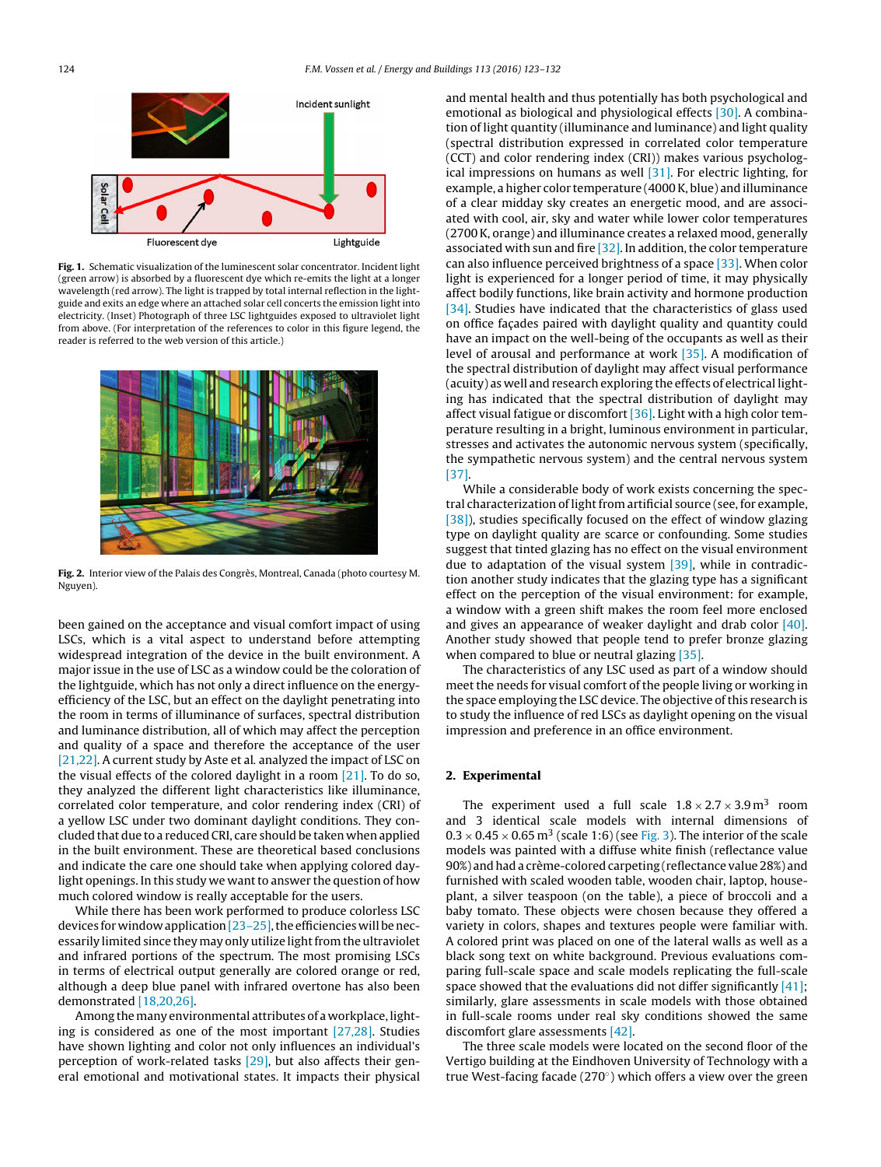<span id="page-1-0"></span>

**Fig. 1.** Schematic visualization of the luminescent solar concentrator. Incident light (green arrow) is absorbed by a fluorescent dye which re-emits the light at a longer wavelength (red arrow). The light is trapped by total internal reflection in the lightguide and exits an edge where an attached solar cell concerts the emission light into electricity. (Inset) Photograph of three LSC lightguides exposed to ultraviolet light from above. (For interpretation of the references to color in this figure legend, the reader is referred to the web version of this article.)



**Fig. 2.** Interior view of the Palais des Congrès, Montreal, Canada (photo courtesy M. Nguyen).

been gained on the acceptance and visual comfort impact of using LSCs, which is a vital aspect to understand before attempting widespread integration of the device in the built environment. A major issue in the use of LSC as a window could be the coloration of the lightguide, which has not only a direct influence on the energyefficiency of the LSC, but an effect on the daylight penetrating into the room in terms of illuminance of surfaces, spectral distribution and luminance distribution, all of which may affect the perception and quality of a space and therefore the acceptance of the user [\[21,22\].](#page--1-0) A current study by Aste et al. analyzed the impact of LSC on the visual effects of the colored daylight in a room  $[21]$ . To do so, they analyzed the different light characteristics like illuminance, correlated color temperature, and color rendering index (CRI) of a yellow LSC under two dominant daylight conditions. They concluded that due to a reduced CRI, care should be taken when applied in the built environment. These are theoretical based conclusions and indicate the care one should take when applying colored daylight openings. In this study we want to answer the question of how much colored window is really acceptable for the users.

While there has been work performed to produce colorless LSC devices for window application  $[23-25]$ , the efficiencies will be necessarily limited since they may only utilize light from the ultraviolet and infrared portions of the spectrum. The most promising LSCs in terms of electrical output generally are colored orange or red, although a deep blue panel with infrared overtone has also been demonstrated [\[18,20,26\].](#page--1-0)

Among the many environmental attributes of a workplace, lighting is considered as one of the most important [\[27,28\].](#page--1-0) Studies have shown lighting and color not only influences an individual's perception of work-related tasks [\[29\],](#page--1-0) but also affects their general emotional and motivational states. It impacts their physical and mental health and thus potentially has both psychological and emotional as biological and physiological effects [\[30\].](#page--1-0) A combination of light quantity (illuminance and luminance) and light quality (spectral distribution expressed in correlated color temperature (CCT) and color rendering index (CRI)) makes various psychological impressions on humans as well [\[31\].](#page--1-0) For electric lighting, for example, a higher color temperature (4000K, blue) and illuminance of a clear midday sky creates an energetic mood, and are associated with cool, air, sky and water while lower color temperatures (2700K, orange) and illuminance creates a relaxed mood, generally associated with sun and fire  $[32]$ . In addition, the color temperature can also influence perceived brightness of a space [\[33\].](#page--1-0) When color light is experienced for a longer period of time, it may physically affect bodily functions, like brain activity and hormone production [\[34\].](#page--1-0) Studies have indicated that the characteristics of glass used on office façades paired with daylight quality and quantity could have an impact on the well-being of the occupants as well as their level of arousal and performance at work [\[35\].](#page--1-0) A modification of the spectral distribution of daylight may affect visual performance (acuity) as well and research exploring the effects of electrical lighting has indicated that the spectral distribution of daylight may affect visual fatigue or discomfort  $[36]$ . Light with a high color temperature resulting in a bright, luminous environment in particular, stresses and activates the autonomic nervous system (specifically, the sympathetic nervous system) and the central nervous system [\[37\].](#page--1-0)

While a considerable body of work exists concerning the spectral characterization of light from artificial source (see, for example, [\[38\]\),](#page--1-0) studies specifically focused on the effect of window glazing type on daylight quality are scarce or confounding. Some studies suggest that tinted glazing has no effect on the visual environment due to adaptation of the visual system  $[39]$ , while in contradiction another study indicates that the glazing type has a significant effect on the perception of the visual environment: for example, a window with a green shift makes the room feel more enclosed and gives an appearance of weaker daylight and drab color [\[40\].](#page--1-0) Another study showed that people tend to prefer bronze glazing when compared to blue or neutral glazing [\[35\].](#page--1-0)

The characteristics of any LSC used as part of a window should meet the needs for visual comfort of the people living or working in the space employing the LSC device. The objective of this research is to study the influence of red LSCs as daylight opening on the visual impression and preference in an office environment.

#### **2. Experimental**

The experiment used a full scale  $1.8 \times 2.7 \times 3.9 \text{ m}^3$  room and 3 identical scale models with internal dimensions of  $0.3 \times 0.45 \times 0.65$  m<sup>3</sup> (scale 1:6) (see [Fig.](#page--1-0) 3). The interior of the scale models was painted with a diffuse white finish (reflectance value 90%) and had a crème-colored carpeting (reflectance value 28%) and furnished with scaled wooden table, wooden chair, laptop, houseplant, a silver teaspoon (on the table), a piece of broccoli and a baby tomato. These objects were chosen because they offered a variety in colors, shapes and textures people were familiar with. A colored print was placed on one of the lateral walls as well as a black song text on white background. Previous evaluations comparing full-scale space and scale models replicating the full-scale space showed that the evaluations did not differ significantly  $[41]$ ; similarly, glare assessments in scale models with those obtained in full-scale rooms under real sky conditions showed the same discomfort glare assessments [\[42\].](#page--1-0)

The three scale models were located on the second floor of the Vertigo building at the Eindhoven University of Technology with a true West-facing facade (270◦) which offers a view over the green